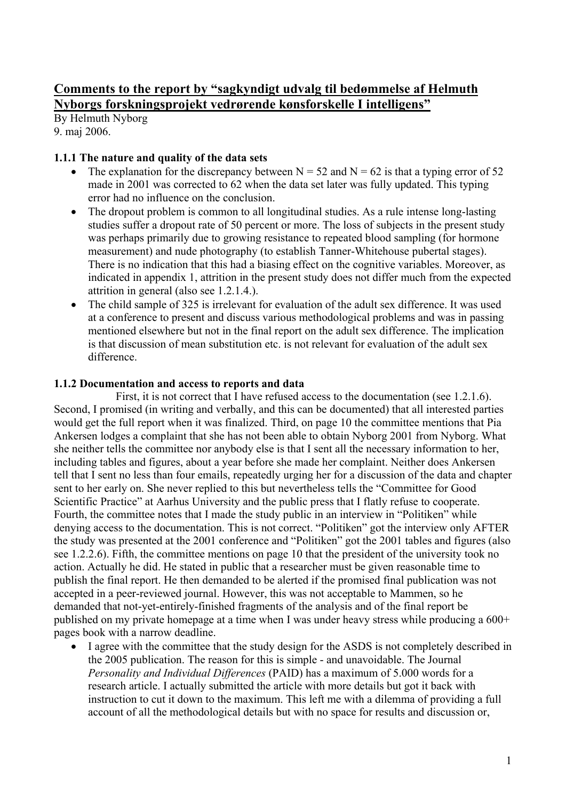# **Comments to the report by "sagkyndigt udvalg til bedømmelse af Helmuth Nyborgs forskningsprojekt vedrørende kønsforskelle I intelligens"**

By Helmuth Nyborg 9. maj 2006.

### **1.1.1 The nature and quality of the data sets**

- The explanation for the discrepancy between  $N = 52$  and  $N = 62$  is that a typing error of 52 made in 2001 was corrected to 62 when the data set later was fully updated. This typing error had no influence on the conclusion.
- The dropout problem is common to all longitudinal studies. As a rule intense long-lasting studies suffer a dropout rate of 50 percent or more. The loss of subjects in the present study was perhaps primarily due to growing resistance to repeated blood sampling (for hormone measurement) and nude photography (to establish Tanner-Whitehouse pubertal stages). There is no indication that this had a biasing effect on the cognitive variables. Moreover, as indicated in appendix 1, attrition in the present study does not differ much from the expected attrition in general (also see 1.2.1.4.).
- The child sample of 325 is irrelevant for evaluation of the adult sex difference. It was used at a conference to present and discuss various methodological problems and was in passing mentioned elsewhere but not in the final report on the adult sex difference. The implication is that discussion of mean substitution etc. is not relevant for evaluation of the adult sex difference.

### **1.1.2 Documentation and access to reports and data**

First, it is not correct that I have refused access to the documentation (see 1.2.1.6). Second, I promised (in writing and verbally, and this can be documented) that all interested parties would get the full report when it was finalized. Third, on page 10 the committee mentions that Pia Ankersen lodges a complaint that she has not been able to obtain Nyborg 2001 from Nyborg. What she neither tells the committee nor anybody else is that I sent all the necessary information to her, including tables and figures, about a year before she made her complaint. Neither does Ankersen tell that I sent no less than four emails, repeatedly urging her for a discussion of the data and chapter sent to her early on. She never replied to this but nevertheless tells the "Committee for Good Scientific Practice" at Aarhus University and the public press that I flatly refuse to cooperate. Fourth, the committee notes that I made the study public in an interview in "Politiken" while denying access to the documentation. This is not correct. "Politiken" got the interview only AFTER the study was presented at the 2001 conference and "Politiken" got the 2001 tables and figures (also see 1.2.2.6). Fifth, the committee mentions on page 10 that the president of the university took no action. Actually he did. He stated in public that a researcher must be given reasonable time to publish the final report. He then demanded to be alerted if the promised final publication was not accepted in a peer-reviewed journal. However, this was not acceptable to Mammen, so he demanded that not-yet-entirely-finished fragments of the analysis and of the final report be published on my private homepage at a time when I was under heavy stress while producing a 600+ pages book with a narrow deadline.

• I agree with the committee that the study design for the ASDS is not completely described in the 2005 publication. The reason for this is simple - and unavoidable. The Journal *Personality and Individual Differences* (PAID) has a maximum of 5.000 words for a research article. I actually submitted the article with more details but got it back with instruction to cut it down to the maximum. This left me with a dilemma of providing a full account of all the methodological details but with no space for results and discussion or,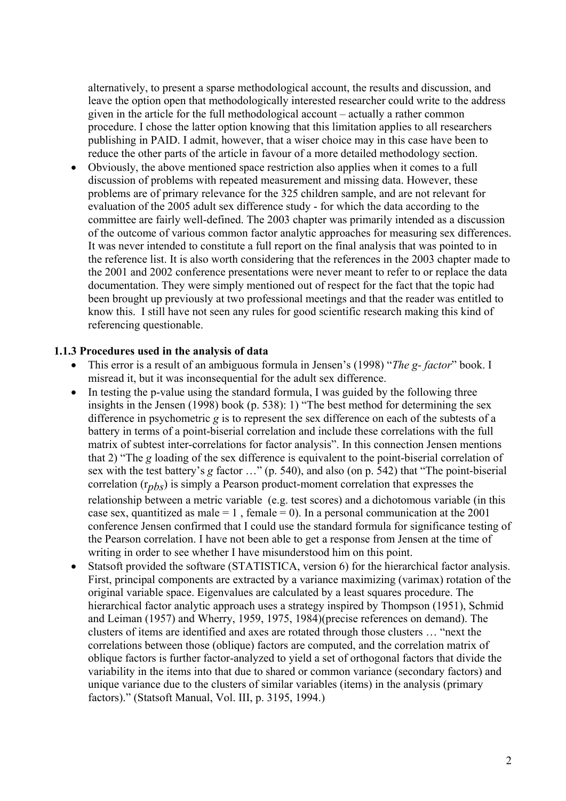alternatively, to present a sparse methodological account, the results and discussion, and leave the option open that methodologically interested researcher could write to the address given in the article for the full methodological account – actually a rather common procedure. I chose the latter option knowing that this limitation applies to all researchers publishing in PAID. I admit, however, that a wiser choice may in this case have been to reduce the other parts of the article in favour of a more detailed methodology section.

! Obviously, the above mentioned space restriction also applies when it comes to a full discussion of problems with repeated measurement and missing data. However, these problems are of primary relevance for the 325 children sample, and are not relevant for evaluation of the 2005 adult sex difference study - for which the data according to the committee are fairly well-defined. The 2003 chapter was primarily intended as a discussion of the outcome of various common factor analytic approaches for measuring sex differences. It was never intended to constitute a full report on the final analysis that was pointed to in the reference list. It is also worth considering that the references in the 2003 chapter made to the 2001 and 2002 conference presentations were never meant to refer to or replace the data documentation. They were simply mentioned out of respect for the fact that the topic had been brought up previously at two professional meetings and that the reader was entitled to know this. I still have not seen any rules for good scientific research making this kind of referencing questionable.

### **1.1.3 Procedures used in the analysis of data**

- ! This error is a result of an ambiguous formula in Jensen's (1998) "*The g- factor*" book. I misread it, but it was inconsequential for the adult sex difference.
- In testing the p-value using the standard formula, I was guided by the following three insights in the Jensen (1998) book (p. 538): 1) "The best method for determining the sex difference in psychometric *g* is to represent the sex difference on each of the subtests of a battery in terms of a point-biserial correlation and include these correlations with the full matrix of subtest inter-correlations for factor analysis". In this connection Jensen mentions that 2) "The *g* loading of the sex difference is equivalent to the point-biserial correlation of sex with the test battery's *g* factor …" (p. 540), and also (on p. 542) that "The point-biserial correlation (r*pbs*) is simply a Pearson product-moment correlation that expresses the relationship between a metric variable (e.g. test scores) and a dichotomous variable (in this case sex, quantitized as male  $= 1$ , female  $= 0$ ). In a personal communication at the 2001 conference Jensen confirmed that I could use the standard formula for significance testing of the Pearson correlation. I have not been able to get a response from Jensen at the time of writing in order to see whether I have misunderstood him on this point.
- ! Statsoft provided the software (STATISTICA, version 6) for the hierarchical factor analysis. First, principal components are extracted by a variance maximizing (varimax) rotation of the original variable space. Eigenvalues are calculated by a least squares procedure. The hierarchical factor analytic approach uses a strategy inspired by Thompson (1951), Schmid and Leiman (1957) and Wherry, 1959, 1975, 1984)(precise references on demand). The clusters of items are identified and axes are rotated through those clusters … "next the correlations between those (oblique) factors are computed, and the correlation matrix of oblique factors is further factor-analyzed to yield a set of orthogonal factors that divide the variability in the items into that due to shared or common variance (secondary factors) and unique variance due to the clusters of similar variables (items) in the analysis (primary factors)." (Statsoft Manual, Vol. III, p. 3195, 1994.)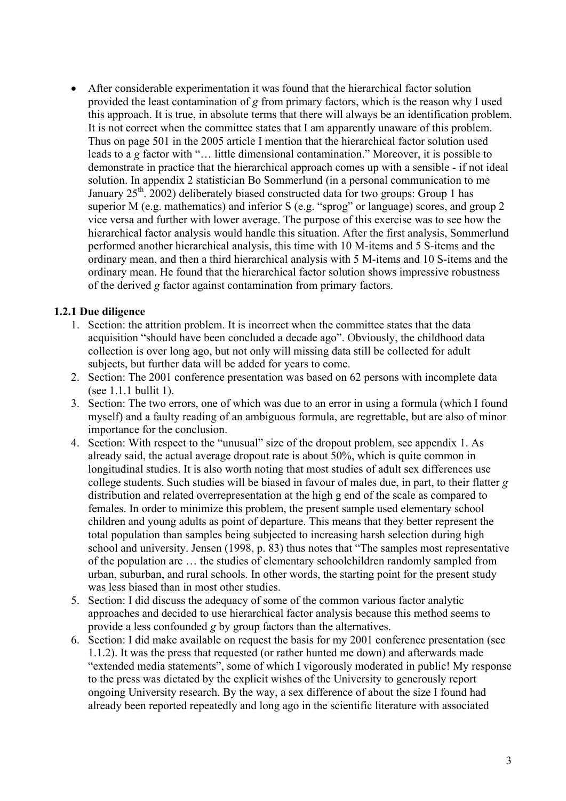! After considerable experimentation it was found that the hierarchical factor solution provided the least contamination of *g* from primary factors, which is the reason why I used this approach. It is true, in absolute terms that there will always be an identification problem. It is not correct when the committee states that I am apparently unaware of this problem. Thus on page 501 in the 2005 article I mention that the hierarchical factor solution used leads to a *g* factor with "… little dimensional contamination." Moreover, it is possible to demonstrate in practice that the hierarchical approach comes up with a sensible - if not ideal solution. In appendix 2 statistician Bo Sommerlund (in a personal communication to me January  $25<sup>th</sup>$ . 2002) deliberately biased constructed data for two groups: Group 1 has superior M (e.g. mathematics) and inferior S (e.g. "sprog" or language) scores, and group 2 vice versa and further with lower average. The purpose of this exercise was to see how the hierarchical factor analysis would handle this situation. After the first analysis, Sommerlund performed another hierarchical analysis, this time with 10 M-items and 5 S-items and the ordinary mean, and then a third hierarchical analysis with 5 M-items and 10 S-items and the ordinary mean. He found that the hierarchical factor solution shows impressive robustness of the derived *g* factor against contamination from primary factors.

## **1.2.1 Due diligence**

- 1. Section: the attrition problem. It is incorrect when the committee states that the data acquisition "should have been concluded a decade ago". Obviously, the childhood data collection is over long ago, but not only will missing data still be collected for adult subjects, but further data will be added for years to come.
- 2. Section: The 2001 conference presentation was based on 62 persons with incomplete data (see 1.1.1 bullit 1).
- 3. Section: The two errors, one of which was due to an error in using a formula (which I found myself) and a faulty reading of an ambiguous formula, are regrettable, but are also of minor importance for the conclusion.
- 4. Section: With respect to the "unusual" size of the dropout problem, see appendix 1. As already said, the actual average dropout rate is about 50%, which is quite common in longitudinal studies. It is also worth noting that most studies of adult sex differences use college students. Such studies will be biased in favour of males due, in part, to their flatter *g* distribution and related overrepresentation at the high g end of the scale as compared to females. In order to minimize this problem, the present sample used elementary school children and young adults as point of departure. This means that they better represent the total population than samples being subjected to increasing harsh selection during high school and university. Jensen (1998, p. 83) thus notes that "The samples most representative of the population are … the studies of elementary schoolchildren randomly sampled from urban, suburban, and rural schools. In other words, the starting point for the present study was less biased than in most other studies.
- 5. Section: I did discuss the adequacy of some of the common various factor analytic approaches and decided to use hierarchical factor analysis because this method seems to provide a less confounded *g* by group factors than the alternatives.
- 6. Section: I did make available on request the basis for my 2001 conference presentation (see 1.1.2). It was the press that requested (or rather hunted me down) and afterwards made "extended media statements", some of which I vigorously moderated in public! My response to the press was dictated by the explicit wishes of the University to generously report ongoing University research. By the way, a sex difference of about the size I found had already been reported repeatedly and long ago in the scientific literature with associated